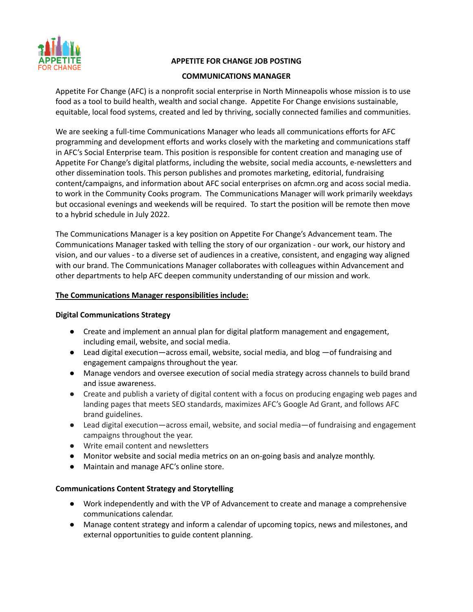

# **APPETITE FOR CHANGE JOB POSTING**

### **COMMUNICATIONS MANAGER**

Appetite For Change (AFC) is a nonprofit social enterprise in North Minneapolis whose mission is to use food as a tool to build health, wealth and social change. Appetite For Change envisions sustainable, equitable, local food systems, created and led by thriving, socially connected families and communities.

We are seeking a full-time Communications Manager who leads all communications efforts for AFC programming and development efforts and works closely with the marketing and communications staff in AFC's Social Enterprise team. This position is responsible for content creation and managing use of Appetite For Change's digital platforms, including the website, social media accounts, e-newsletters and other dissemination tools. This person publishes and promotes marketing, editorial, fundraising content/campaigns, and information about AFC social enterprises on afcmn.org and acoss social media. to work in the Community Cooks program. The Communications Manager will work primarily weekdays but occasional evenings and weekends will be required. To start the position will be remote then move to a hybrid schedule in July 2022.

The Communications Manager is a key position on Appetite For Change's Advancement team. The Communications Manager tasked with telling the story of our organization - our work, our history and vision, and our values - to a diverse set of audiences in a creative, consistent, and engaging way aligned with our brand. The Communications Manager collaborates with colleagues within Advancement and other departments to help AFC deepen community understanding of our mission and work.

#### **The Communications Manager responsibilities include:**

#### **Digital Communications Strategy**

- Create and implement an annual plan for digital platform management and engagement, including email, website, and social media.
- Lead digital execution—across email, website, social media, and blog —of fundraising and engagement campaigns throughout the year.
- Manage vendors and oversee execution of social media strategy across channels to build brand and issue awareness.
- Create and publish a variety of digital content with a focus on producing engaging web pages and landing pages that meets SEO standards, maximizes AFC's Google Ad Grant, and follows AFC brand guidelines.
- Lead digital execution—across email, website, and social media—of fundraising and engagement campaigns throughout the year.
- Write email content and newsletters
- Monitor website and social media metrics on an on-going basis and analyze monthly.
- Maintain and manage AFC's online store.

### **Communications Content Strategy and Storytelling**

- Work independently and with the VP of Advancement to create and manage a comprehensive communications calendar.
- Manage content strategy and inform a calendar of upcoming topics, news and milestones, and external opportunities to guide content planning.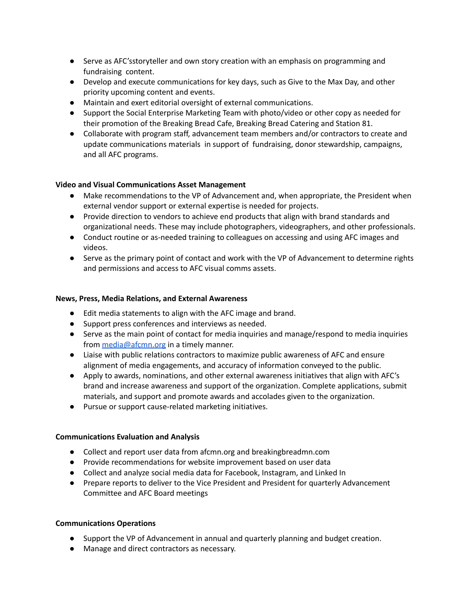- Serve as AFC'sstoryteller and own story creation with an emphasis on programming and fundraising content.
- Develop and execute communications for key days, such as Give to the Max Day, and other priority upcoming content and events.
- Maintain and exert editorial oversight of external communications.
- Support the Social Enterprise Marketing Team with photo/video or other copy as needed for their promotion of the Breaking Bread Cafe, Breaking Bread Catering and Station 81.
- Collaborate with program staff, advancement team members and/or contractors to create and update communications materials in support of fundraising, donor stewardship, campaigns, and all AFC programs.

# **Video and Visual Communications Asset Management**

- Make recommendations to the VP of Advancement and, when appropriate, the President when external vendor support or external expertise is needed for projects.
- Provide direction to vendors to achieve end products that align with brand standards and organizational needs. These may include photographers, videographers, and other professionals.
- Conduct routine or as-needed training to colleagues on accessing and using AFC images and videos.
- Serve as the primary point of contact and work with the VP of Advancement to determine rights and permissions and access to AFC visual comms assets.

### **News, Press, Media Relations, and External Awareness**

- Edit media statements to align with the AFC image and brand.
- Support press conferences and interviews as needed.
- Serve as the main point of contact for media inquiries and manage/respond to media inquiries from [media@afcmn.org](mailto:media@afcmn.org) in a timely manner.
- Liaise with public relations contractors to maximize public awareness of AFC and ensure alignment of media engagements, and accuracy of information conveyed to the public.
- Apply to awards, nominations, and other external awareness initiatives that align with AFC's brand and increase awareness and support of the organization. Complete applications, submit materials, and support and promote awards and accolades given to the organization.
- Pursue or support cause-related marketing initiatives.

### **Communications Evaluation and Analysis**

- Collect and report user data from afcmn.org and breakingbreadmn.com
- Provide recommendations for website improvement based on user data
- Collect and analyze social media data for Facebook, Instagram, and Linked In
- Prepare reports to deliver to the Vice President and President for quarterly Advancement Committee and AFC Board meetings

### **Communications Operations**

- Support the VP of Advancement in annual and quarterly planning and budget creation.
- Manage and direct contractors as necessary.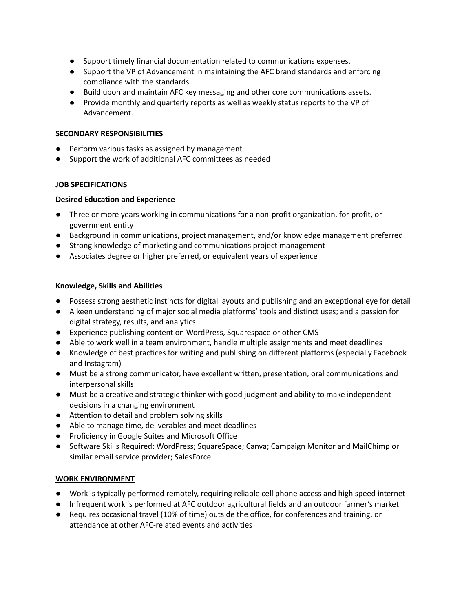- Support timely financial documentation related to communications expenses.
- Support the VP of Advancement in maintaining the AFC brand standards and enforcing compliance with the standards.
- Build upon and maintain AFC key messaging and other core communications assets.
- Provide monthly and quarterly reports as well as weekly status reports to the VP of Advancement.

### **SECONDARY RESPONSIBILITIES**

- Perform various tasks as assigned by management
- Support the work of additional AFC committees as needed

# **JOB SPECIFICATIONS**

# **Desired Education and Experience**

- Three or more years working in communications for a non-profit organization, for-profit, or government entity
- Background in communications, project management, and/or knowledge management preferred
- Strong knowledge of marketing and communications project management
- Associates degree or higher preferred, or equivalent years of experience

### **Knowledge, Skills and Abilities**

- Possess strong aesthetic instincts for digital layouts and publishing and an exceptional eye for detail
- A keen understanding of major social media platforms' tools and distinct uses; and a passion for digital strategy, results, and analytics
- Experience publishing content on WordPress, Squarespace or other CMS
- Able to work well in a team environment, handle multiple assignments and meet deadlines
- Knowledge of best practices for writing and publishing on different platforms (especially Facebook and Instagram)
- Must be a strong communicator, have excellent written, presentation, oral communications and interpersonal skills
- Must be a creative and strategic thinker with good judgment and ability to make independent decisions in a changing environment
- Attention to detail and problem solving skills
- Able to manage time, deliverables and meet deadlines
- Proficiency in Google Suites and Microsoft Office
- Software Skills Required: WordPress; SquareSpace; Canva; Campaign Monitor and MailChimp or similar email service provider; SalesForce.

### **WORK ENVIRONMENT**

- Work is typically performed remotely, requiring reliable cell phone access and high speed internet
- Infrequent work is performed at AFC outdoor agricultural fields and an outdoor farmer's market
- Requires occasional travel (10% of time) outside the office, for conferences and training, or attendance at other AFC-related events and activities